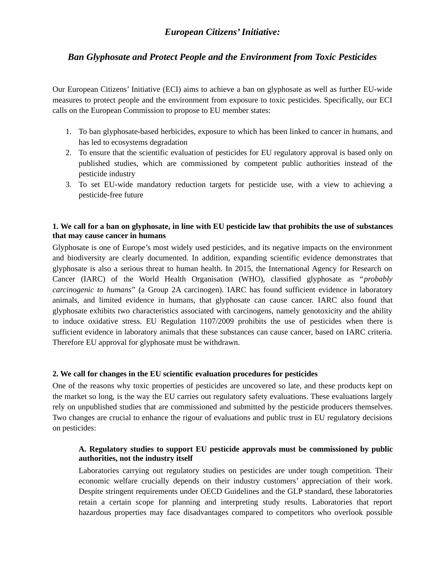# *European Citizens' Initiative:*

## *Ban Glyphosate and Protect People and the Environment from Toxic Pesticides*

Our European Citizens' Initiative (ECI) aims to achieve a ban on glyphosate as well as further EU-wide measures to protect people and the environment from exposure to toxic pesticides. Specifically, our ECI calls on the European Commission to propose to EU member states:

- 1. To ban glyphosate-based herbicides, exposure to which has been linked to cancer in humans, and has led to ecosystems degradation
- 2. To ensure that the scientific evaluation of pesticides for EU regulatory approval is based only on published studies, which are commissioned by competent public authorities instead of the pesticide industry
- 3. To set EU-wide mandatory reduction targets for pesticide use, with a view to achieving a pesticide-free future

#### **1. We call for a ban on glyphosate, in line with EU pesticide law that prohibits the use of substances that may cause cancer in humans**

Glyphosate is one of Europe's most widely used pesticides, and its negative impacts on the environment and biodiversity are clearly documented. In addition, expanding scientific evidence demonstrates that glyphosate is also a serious threat to human health. In 2015, the International Agency for Research on Cancer (IARC) of the World Health Organisation (WHO), classified glyphosate as "*probably carcinogenic to humans*" (a Group 2A carcinogen). IARC has found sufficient evidence in laboratory animals, and limited evidence in humans, that glyphosate can cause cancer. IARC also found that glyphosate exhibits two characteristics associated with carcinogens, namely genotoxicity and the ability to induce oxidative stress. EU Regulation 1107/2009 prohibits the use of pesticides when there is sufficient evidence in laboratory animals that these substances can cause cancer, based on IARC criteria. Therefore EU approval for glyphosate must be withdrawn.

#### **2. We call for changes in the EU scientific evaluation procedures for pesticides**

One of the reasons why toxic properties of pesticides are uncovered so late, and these products kept on the market so long, is the way the EU carries out regulatory safety evaluations. These evaluations largely rely on unpublished studies that are commissioned and submitted by the pesticide producers themselves. Two changes are crucial to enhance the rigour of evaluations and public trust in EU regulatory decisions on pesticides:

## **A. Regulatory studies to support EU pesticide approvals must be commissioned by public authorities, not the industry itself**

Laboratories carrying out regulatory studies on pesticides are under tough competition. Their economic welfare crucially depends on their industry customers' appreciation of their work. Despite stringent requirements under OECD Guidelines and the GLP standard, these laboratories retain a certain scope for planning and interpreting study results. Laboratories that report hazardous properties may face disadvantages compared to competitors who overlook possible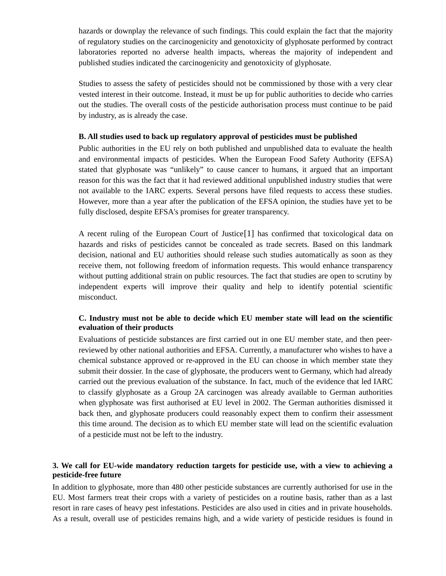hazards or downplay the relevance of such findings. This could explain the fact that the majority of regulatory studies on the carcinogenicity and genotoxicity of glyphosate performed by contract laboratories reported no adverse health impacts, whereas the majority of independent and published studies indicated the carcinogenicity and genotoxicity of glyphosate.

Studies to assess the safety of pesticides should not be commissioned by those with a very clear vested interest in their outcome. Instead, it must be up for public authorities to decide who carries out the studies. The overall costs of the pesticide authorisation process must continue to be paid by industry, as is already the case.

#### **B. All studies used to back up regulatory approval of pesticides must be published**

Public authorities in the EU rely on both published and unpublished data to evaluate the health and environmental impacts of pesticides. When the European Food Safety Authority (EFSA) stated that glyphosate was "unlikely" to cause cancer to humans, it argued that an important reason for this was the fact that it had reviewed additional unpublished industry studies that were not available to the IARC experts. Several persons have filed requests to access these studies. However, more than a year after the publication of the EFSA opinion, the studies have yet to be fully disclosed, despite EFSA's promises for greater transparency.

A recent ruling of the European Court of Justice[1] has confirmed that toxicological data on hazards and risks of pesticides cannot be concealed as trade secrets. Based on this landmark decision, national and EU authorities should release such studies automatically as soon as they receive them, not following freedom of information requests. This would enhance transparency without putting additional strain on public resources. The fact that studies are open to scrutiny by independent experts will improve their quality and help to identify potential scientific misconduct.

## **C. Industry must not be able to decide which EU member state will lead on the scientific evaluation of their products**

Evaluations of pesticide substances are first carried out in one EU member state, and then peerreviewed by other national authorities and EFSA. Currently, a manufacturer who wishes to have a chemical substance approved or re-approved in the EU can choose in which member state they submit their dossier. In the case of glyphosate, the producers went to Germany, which had already carried out the previous evaluation of the substance. In fact, much of the evidence that led IARC to classify glyphosate as a Group 2A carcinogen was already available to German authorities when glyphosate was first authorised at EU level in 2002. The German authorities dismissed it back then, and glyphosate producers could reasonably expect them to confirm their assessment this time around. The decision as to which EU member state will lead on the scientific evaluation of a pesticide must not be left to the industry.

#### **3. We call for EU-wide mandatory reduction targets for pesticide use, with a view to achieving a pesticide-free future**

In addition to glyphosate, more than 480 other pesticide substances are currently authorised for use in the EU. Most farmers treat their crops with a variety of pesticides on a routine basis, rather than as a last resort in rare cases of heavy pest infestations. Pesticides are also used in cities and in private households. As a result, overall use of pesticides remains high, and a wide variety of pesticide residues is found in